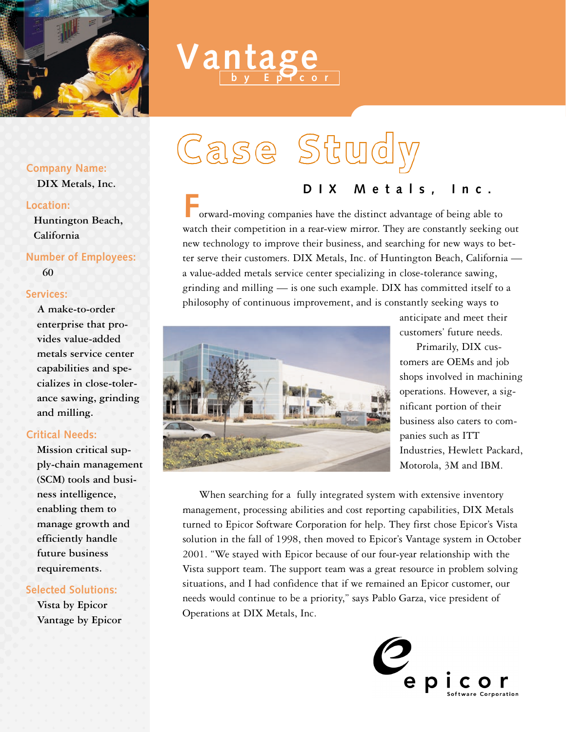

# *antage*

### **Company Name:**

**DIX Metals, Inc.**

### Location:

**Huntington Beach, California**

# **Number of Employees:**

**60**

## Services:

**A make-to-order enterprise that provides value-added metals service center capabilities and specializes in close-tolerance sawing, grinding and milling.** 

# **Critical Needs:**

**Mission critical supply-chain management (SCM) tools and business intelligence, enabling them to manage growth and efficiently handle future business requirements.** 

# **Selected Solutions:**

**Vista by Epicor Vantage by Epicor**

# Case Study

#### DIX Metals, I  $\ln c$ .

orward-moving companies have the distinct advantage of being able to watch their competition in a rear-view mirror. They are constantly seeking out new technology to improve their business, and searching for new ways to better serve their customers. DIX Metals, Inc. of Huntington Beach, California a value-added metals service center specializing in close-tolerance sawing, grinding and milling — is one such example. DIX has committed itself to a philosophy of continuous improvement, and is constantly seeking ways to



anticipate and meet their customers' future needs.

Primarily, DIX customers are OEMs and job shops involved in machining operations. However, a significant portion of their business also caters to companies such as ITT Industries, Hewlett Packard, Motorola, 3M and IBM.

When searching for a fully integrated system with extensive inventory management, processing abilities and cost reporting capabilities, DIX Metals turned to Epicor Software Corporation for help. They first chose Epicor's Vista solution in the fall of 1998, then moved to Epicor's Vantage system in October 2001. "We stayed with Epicor because of our four-year relationship with the Vista support team. The support team was a great resource in problem solving situations, and I had confidence that if we remained an Epicor customer, our needs would continue to be a priority," says Pablo Garza, vice president of Operations at DIX Metals, Inc.